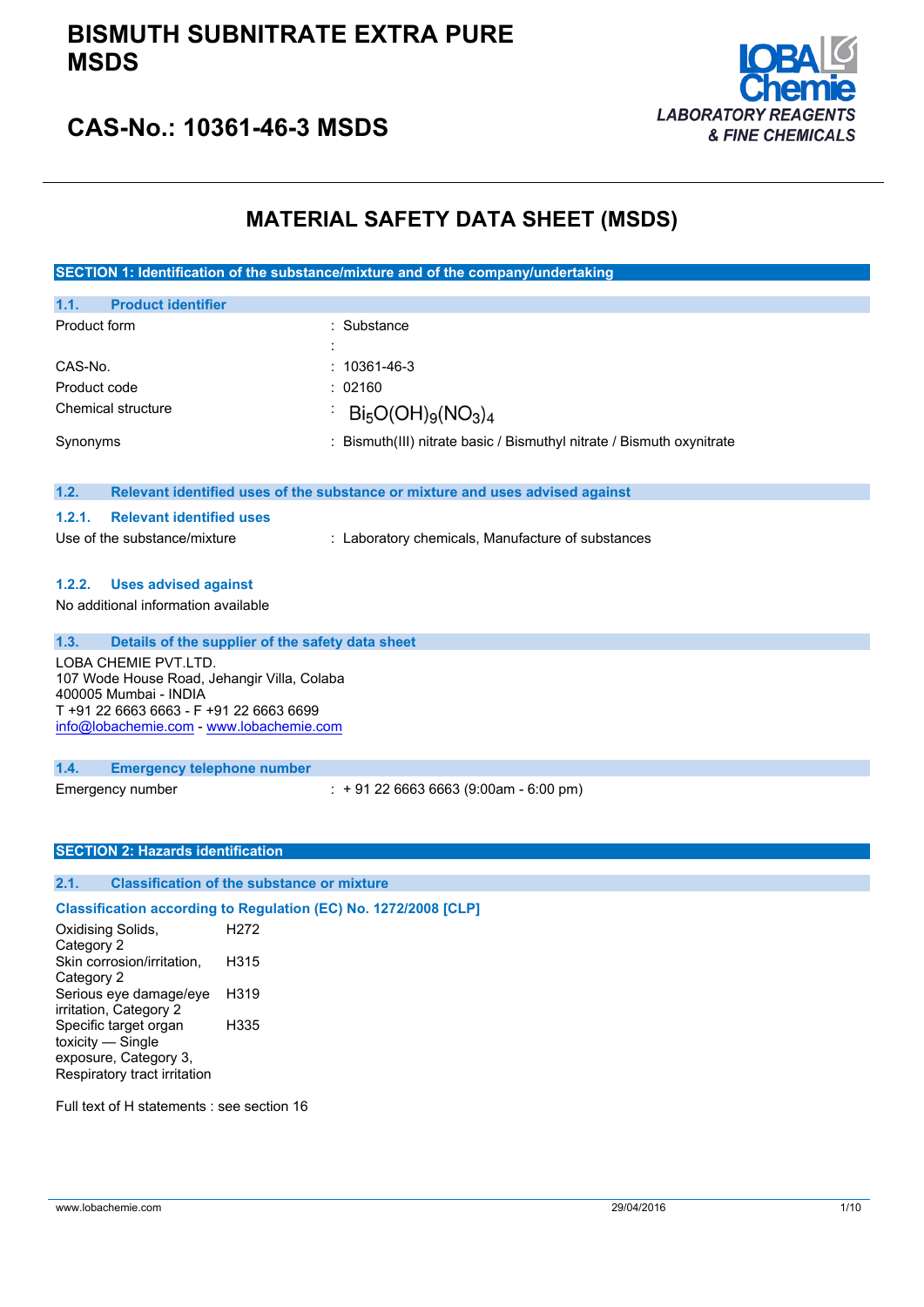# **BISMUTH SUBNITRATE EXTRA PURE MSDS**



# **CAS-No.: 10361-46-3 MSDS**

# **MATERIAL SAFETY DATA SHEET (MSDS)**

**SECTION 1: Identification of the substance/mixture and of the company/undertaking**

| 1.1.<br><b>Product identifier</b> |                                                                       |
|-----------------------------------|-----------------------------------------------------------------------|
| Product form                      | : Substance                                                           |
|                                   |                                                                       |
| CAS-No.                           | $: 10361 - 46 - 3$                                                    |
| Product code                      | : 02160                                                               |
| Chemical structure                | $Bi_5O(OH)_{9}(NO_3)_4$                                               |
| Synonyms                          | : Bismuth(III) nitrate basic / Bismuthyl nitrate / Bismuth oxynitrate |

#### **1.2. Relevant identified uses of the substance or mixture and uses advised against**

| <b>Relevant identified uses</b> |
|---------------------------------|
|                                 |

| Use of the substance/mixture |  |  |  | : Laboratory chemicals, Manufacture of substances |  |  |
|------------------------------|--|--|--|---------------------------------------------------|--|--|
|------------------------------|--|--|--|---------------------------------------------------|--|--|

# **1.2.2. Uses advised against**

No additional information available

| 1.3. | Details of the supplier of the safety data sheet                                                                                                                                    |
|------|-------------------------------------------------------------------------------------------------------------------------------------------------------------------------------------|
|      | LOBA CHEMIE PVT.LTD.<br>107 Wode House Road, Jehangir Villa, Colaba<br>400005 Mumbai - INDIA<br>T +91 22 6663 6663 - F +91 22 6663 6699<br>info@lobachemie.com - www.lobachemie.com |
| 1.4. | <b>Emergency telephone number</b>                                                                                                                                                   |

Emergency number : + 91 22 6663 6663 (9:00am - 6:00 pm)

#### **SECTION 2: Hazards identification**

#### **2.1. Classification of the substance or mixture**

# **Classification according to Regulation (EC) No. 1272/2008 [CLP]**

Oxidising Solids, Category 2 H<sub>272</sub> Skin corrosion/irritation, Category 2 H315 Serious eye damage/eye irritation, Category 2 H319 Specific target organ toxicity — Single exposure, Category 3, Respiratory tract irritation H335

Full text of H statements : see section 16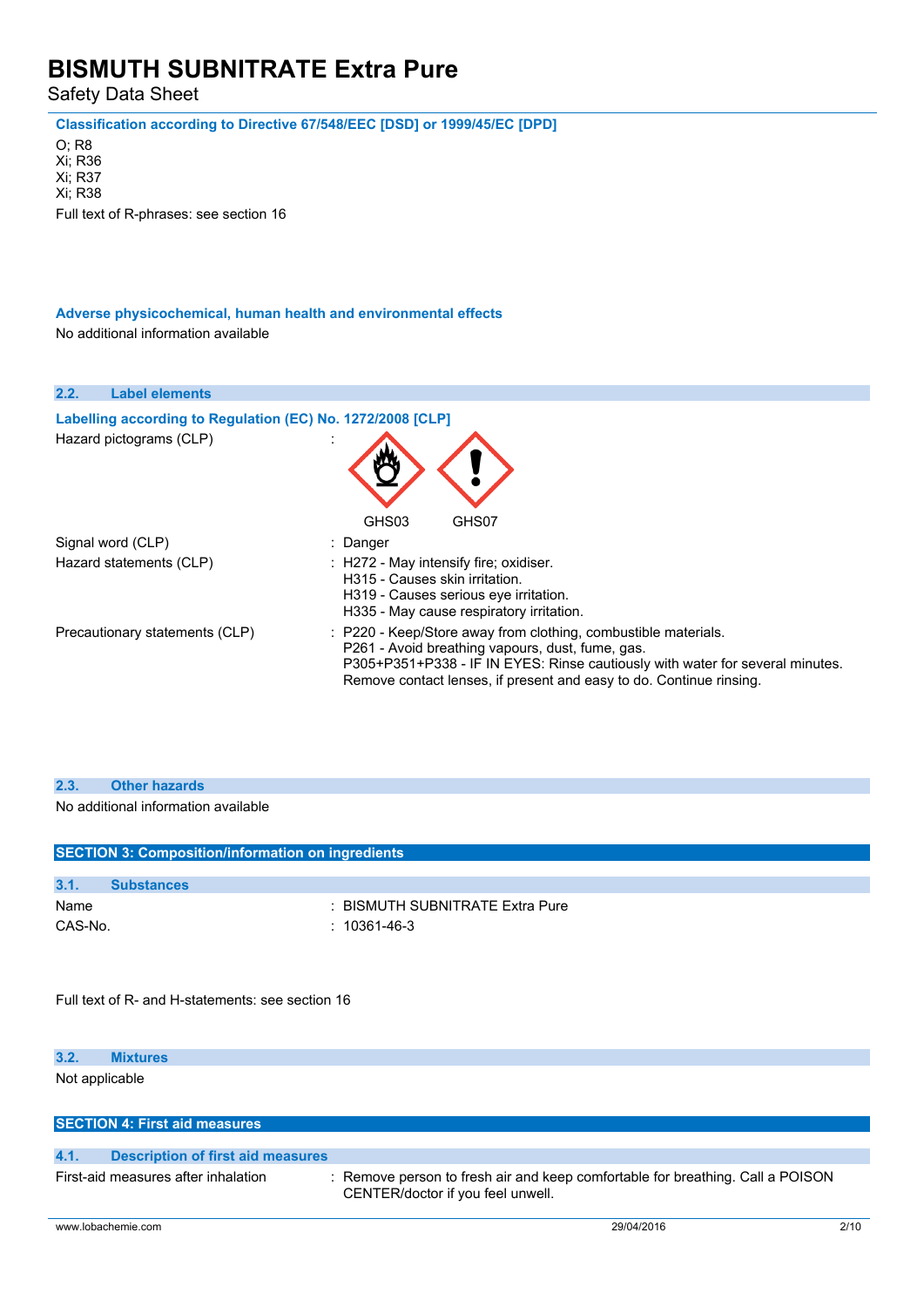Safety Data Sheet

**Classification according to Directive 67/548/EEC [DSD] or 1999/45/EC [DPD]**

O; R8 Xi; R36 Xi; R37 Xi; R38 Full text of R-phrases: see section 16

**Adverse physicochemical, human health and environmental effects** No additional information available

| 2.2.<br><b>Label elements</b>                              |                                                                                                                                                                                                                                                                            |
|------------------------------------------------------------|----------------------------------------------------------------------------------------------------------------------------------------------------------------------------------------------------------------------------------------------------------------------------|
| Labelling according to Regulation (EC) No. 1272/2008 [CLP] |                                                                                                                                                                                                                                                                            |
| Hazard pictograms (CLP)                                    | GHS03<br>GHS07                                                                                                                                                                                                                                                             |
| Signal word (CLP)                                          | : Danger                                                                                                                                                                                                                                                                   |
| Hazard statements (CLP)                                    | : H272 - May intensify fire; oxidiser.<br>H315 - Causes skin irritation.<br>H319 - Causes serious eye irritation.<br>H335 - May cause respiratory irritation.                                                                                                              |
| Precautionary statements (CLP)                             | : P220 - Keep/Store away from clothing, combustible materials.<br>P261 - Avoid breathing vapours, dust, fume, gas.<br>P305+P351+P338 - IF IN EYES: Rinse cautiously with water for several minutes.<br>Remove contact lenses, if present and easy to do. Continue rinsing. |

No additional information available

|                | <b>SECTION 3: Composition/information on ingredients</b> |                                 |
|----------------|----------------------------------------------------------|---------------------------------|
|                |                                                          |                                 |
| 3.1.           | <b>Substances</b>                                        |                                 |
| Name           |                                                          | : BISMUTH SUBNITRATE Extra Pure |
| CAS-No.        | $: 10361 - 46 - 3$                                       |                                 |
|                |                                                          |                                 |
|                |                                                          |                                 |
|                |                                                          |                                 |
|                | Full text of R- and H-statements: see section 16         |                                 |
|                |                                                          |                                 |
|                |                                                          |                                 |
| 3.2.           | <b>Mixtures</b>                                          |                                 |
| Not applicable |                                                          |                                 |
|                |                                                          |                                 |
|                |                                                          |                                 |
|                | <b>SECTION 4: First aid measures</b>                     |                                 |
| 4.1.           | <b>Description of first aid measures</b>                 |                                 |

First-aid measures after inhalation : Remove person to fresh air and keep comfortable for breathing. Call a POISON CENTER/doctor if you feel unwell.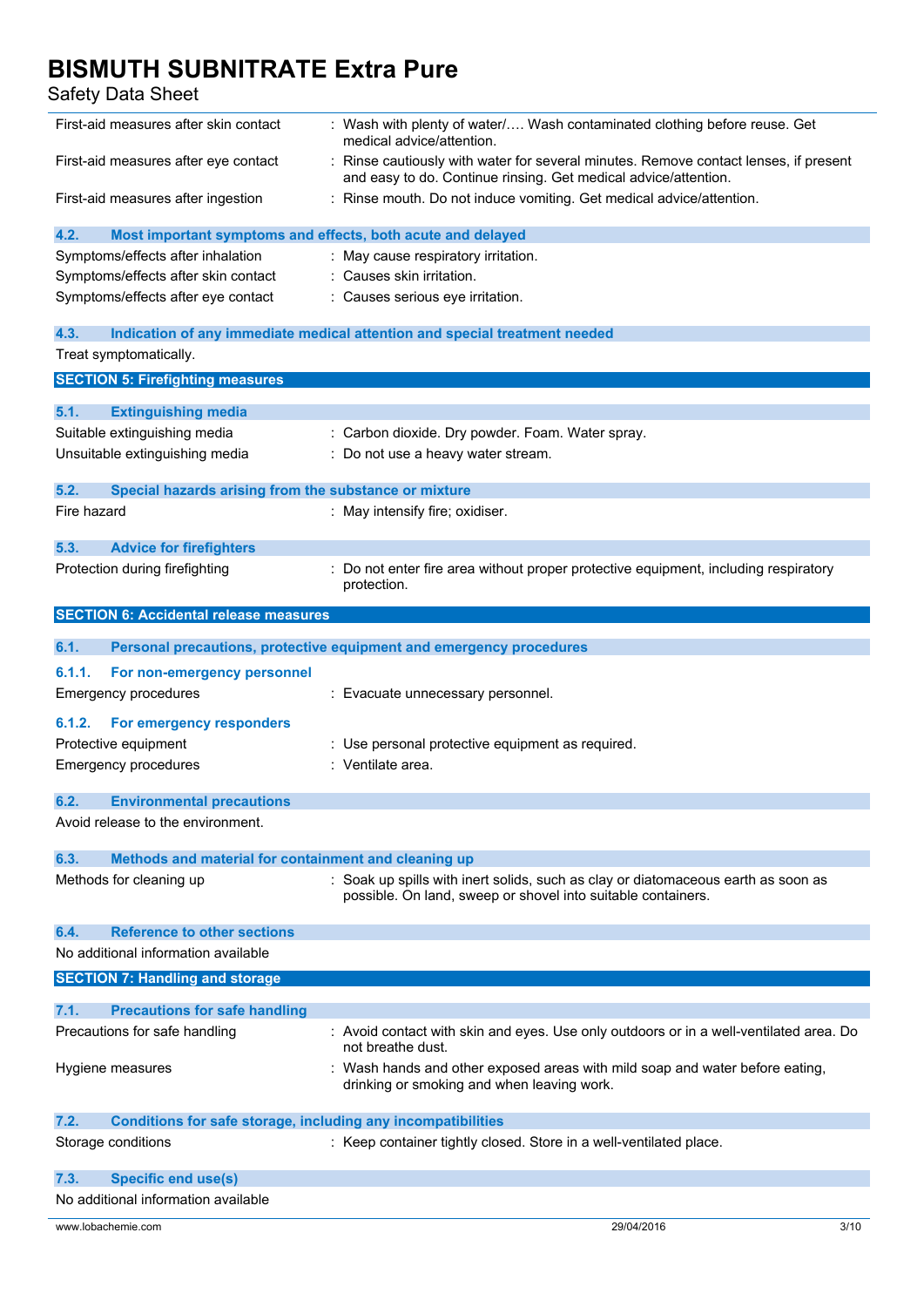| First-aid measures after skin contact                                             | : Wash with plenty of water/ Wash contaminated clothing before reuse. Get<br>medical advice/attention.                                                  |      |
|-----------------------------------------------------------------------------------|---------------------------------------------------------------------------------------------------------------------------------------------------------|------|
| First-aid measures after eye contact                                              | : Rinse cautiously with water for several minutes. Remove contact lenses, if present<br>and easy to do. Continue rinsing. Get medical advice/attention. |      |
| First-aid measures after ingestion                                                | : Rinse mouth. Do not induce vomiting. Get medical advice/attention.                                                                                    |      |
| 4.2.<br>Most important symptoms and effects, both acute and delayed               |                                                                                                                                                         |      |
| Symptoms/effects after inhalation                                                 | : May cause respiratory irritation.                                                                                                                     |      |
| Symptoms/effects after skin contact                                               | : Causes skin irritation.                                                                                                                               |      |
| Symptoms/effects after eye contact                                                | : Causes serious eye irritation.                                                                                                                        |      |
|                                                                                   |                                                                                                                                                         |      |
| 4.3.                                                                              | Indication of any immediate medical attention and special treatment needed                                                                              |      |
| Treat symptomatically.                                                            |                                                                                                                                                         |      |
| <b>SECTION 5: Firefighting measures</b>                                           |                                                                                                                                                         |      |
|                                                                                   |                                                                                                                                                         |      |
| 5.1.<br><b>Extinguishing media</b>                                                |                                                                                                                                                         |      |
| Suitable extinguishing media                                                      | : Carbon dioxide. Dry powder. Foam. Water spray.                                                                                                        |      |
| Unsuitable extinguishing media                                                    | : Do not use a heavy water stream.                                                                                                                      |      |
|                                                                                   |                                                                                                                                                         |      |
| 5.2.<br>Special hazards arising from the substance or mixture                     |                                                                                                                                                         |      |
| Fire hazard                                                                       | : May intensify fire; oxidiser.                                                                                                                         |      |
|                                                                                   |                                                                                                                                                         |      |
| 5.3.<br><b>Advice for firefighters</b>                                            |                                                                                                                                                         |      |
| Protection during firefighting                                                    | Do not enter fire area without proper protective equipment, including respiratory                                                                       |      |
|                                                                                   | protection.                                                                                                                                             |      |
| <b>SECTION 6: Accidental release measures</b>                                     |                                                                                                                                                         |      |
| 6.1.                                                                              | Personal precautions, protective equipment and emergency procedures                                                                                     |      |
|                                                                                   |                                                                                                                                                         |      |
| 6.1.1.<br>For non-emergency personnel                                             |                                                                                                                                                         |      |
| <b>Emergency procedures</b>                                                       | : Evacuate unnecessary personnel.                                                                                                                       |      |
| For emergency responders<br>6.1.2.                                                |                                                                                                                                                         |      |
| Protective equipment                                                              | : Use personal protective equipment as required.                                                                                                        |      |
| <b>Emergency procedures</b>                                                       | : Ventilate area.                                                                                                                                       |      |
|                                                                                   |                                                                                                                                                         |      |
| 6.2.<br><b>Environmental precautions</b>                                          |                                                                                                                                                         |      |
| Avoid release to the environment.                                                 |                                                                                                                                                         |      |
|                                                                                   |                                                                                                                                                         |      |
| 6.3.<br>Methods and material for containment and cleaning up                      |                                                                                                                                                         |      |
| Methods for cleaning up                                                           | : Soak up spills with inert solids, such as clay or diatomaceous earth as soon as<br>possible. On land, sweep or shovel into suitable containers.       |      |
|                                                                                   |                                                                                                                                                         |      |
| <b>Reference to other sections</b><br>6.4.<br>No additional information available |                                                                                                                                                         |      |
|                                                                                   |                                                                                                                                                         |      |
| <b>SECTION 7: Handling and storage</b>                                            |                                                                                                                                                         |      |
| 7.1.<br><b>Precautions for safe handling</b>                                      |                                                                                                                                                         |      |
| Precautions for safe handling                                                     | : Avoid contact with skin and eyes. Use only outdoors or in a well-ventilated area. Do                                                                  |      |
|                                                                                   | not breathe dust.                                                                                                                                       |      |
| Hygiene measures                                                                  | : Wash hands and other exposed areas with mild soap and water before eating,<br>drinking or smoking and when leaving work.                              |      |
| 7.2.<br><b>Conditions for safe storage, including any incompatibilities</b>       |                                                                                                                                                         |      |
| Storage conditions                                                                | : Keep container tightly closed. Store in a well-ventilated place.                                                                                      |      |
|                                                                                   |                                                                                                                                                         |      |
| <b>Specific end use(s)</b><br>7.3.                                                |                                                                                                                                                         |      |
| No additional information available                                               |                                                                                                                                                         |      |
| www.lobachemie.com                                                                | 29/04/2016                                                                                                                                              | 3/10 |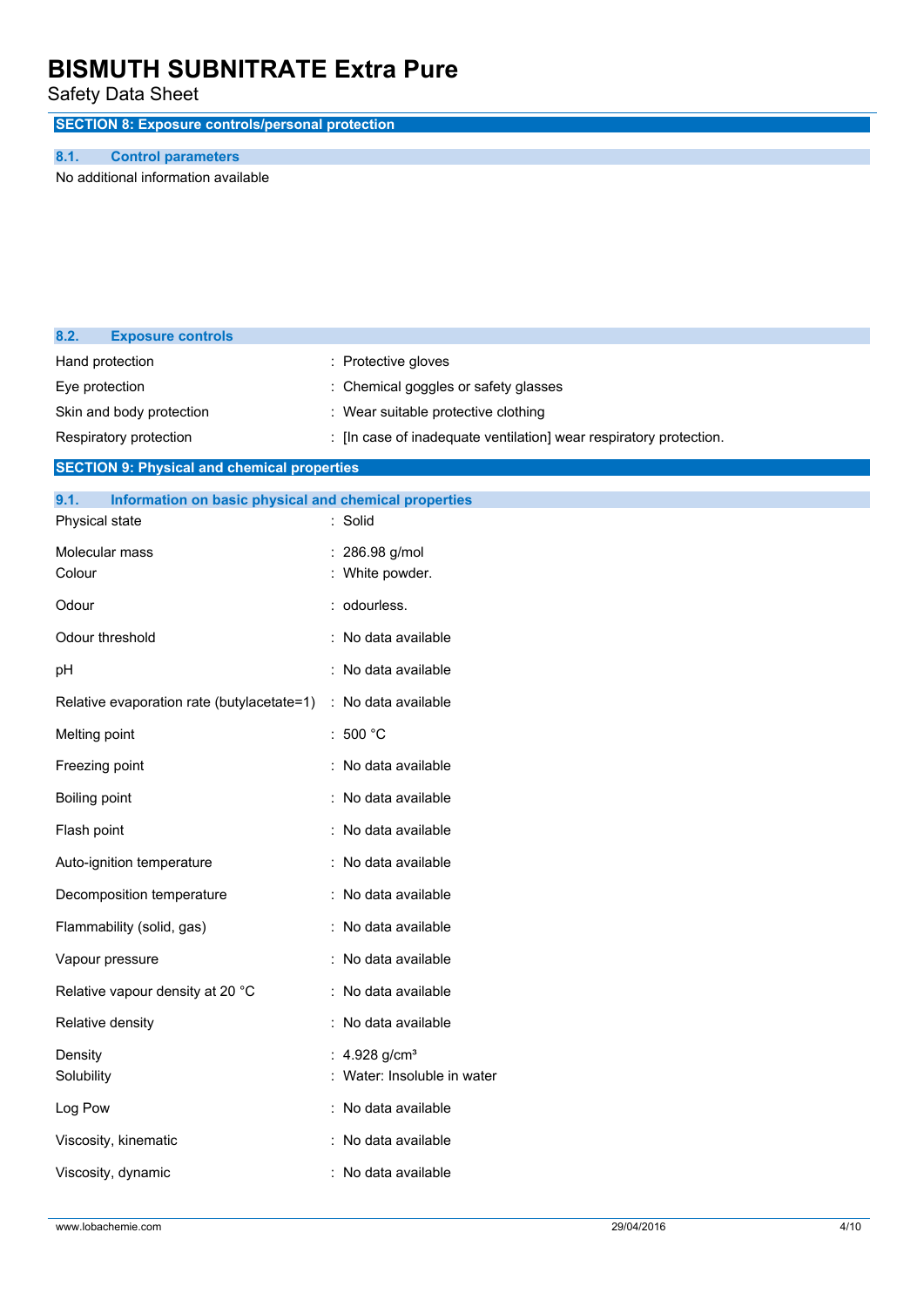Safety Data Sheet

**SECTION 8: Exposure controls/personal protection**

### **8.1. Control parameters**

**8.2. Exposure controls**

No additional information available

|                                                               | : Protective gloves                                                |
|---------------------------------------------------------------|--------------------------------------------------------------------|
| Hand protection                                               |                                                                    |
| Eye protection                                                | Chemical goggles or safety glasses                                 |
| Skin and body protection                                      | : Wear suitable protective clothing                                |
| Respiratory protection                                        | : [In case of inadequate ventilation] wear respiratory protection. |
| <b>SECTION 9: Physical and chemical properties</b>            |                                                                    |
| 9.1.<br>Information on basic physical and chemical properties |                                                                    |
| Physical state                                                | : Solid                                                            |
| Molecular mass                                                | 286.98 g/mol                                                       |
| Colour                                                        | White powder.                                                      |
| Odour                                                         | : odourless.                                                       |
| Odour threshold                                               | No data available                                                  |
| pH                                                            | No data available                                                  |
| Relative evaporation rate (butylacetate=1)                    | : No data available                                                |
| Melting point                                                 | 500 °C                                                             |
| Freezing point                                                | No data available                                                  |
| <b>Boiling point</b>                                          | No data available                                                  |
| Flash point                                                   | No data available                                                  |
| Auto-ignition temperature                                     | No data available                                                  |
| Decomposition temperature                                     | : No data available                                                |
| Flammability (solid, gas)                                     | : No data available                                                |
| Vapour pressure                                               | No data available                                                  |
| Relative vapour density at 20 °C                              | No data available                                                  |
| Relative density                                              | No data available                                                  |
| Density                                                       | 4.928 g/cm <sup>3</sup>                                            |
| Solubility                                                    | : Water: Insoluble in water                                        |
| Log Pow                                                       | : No data available                                                |
| Viscosity, kinematic                                          | : No data available                                                |
| Viscosity, dynamic                                            | : No data available                                                |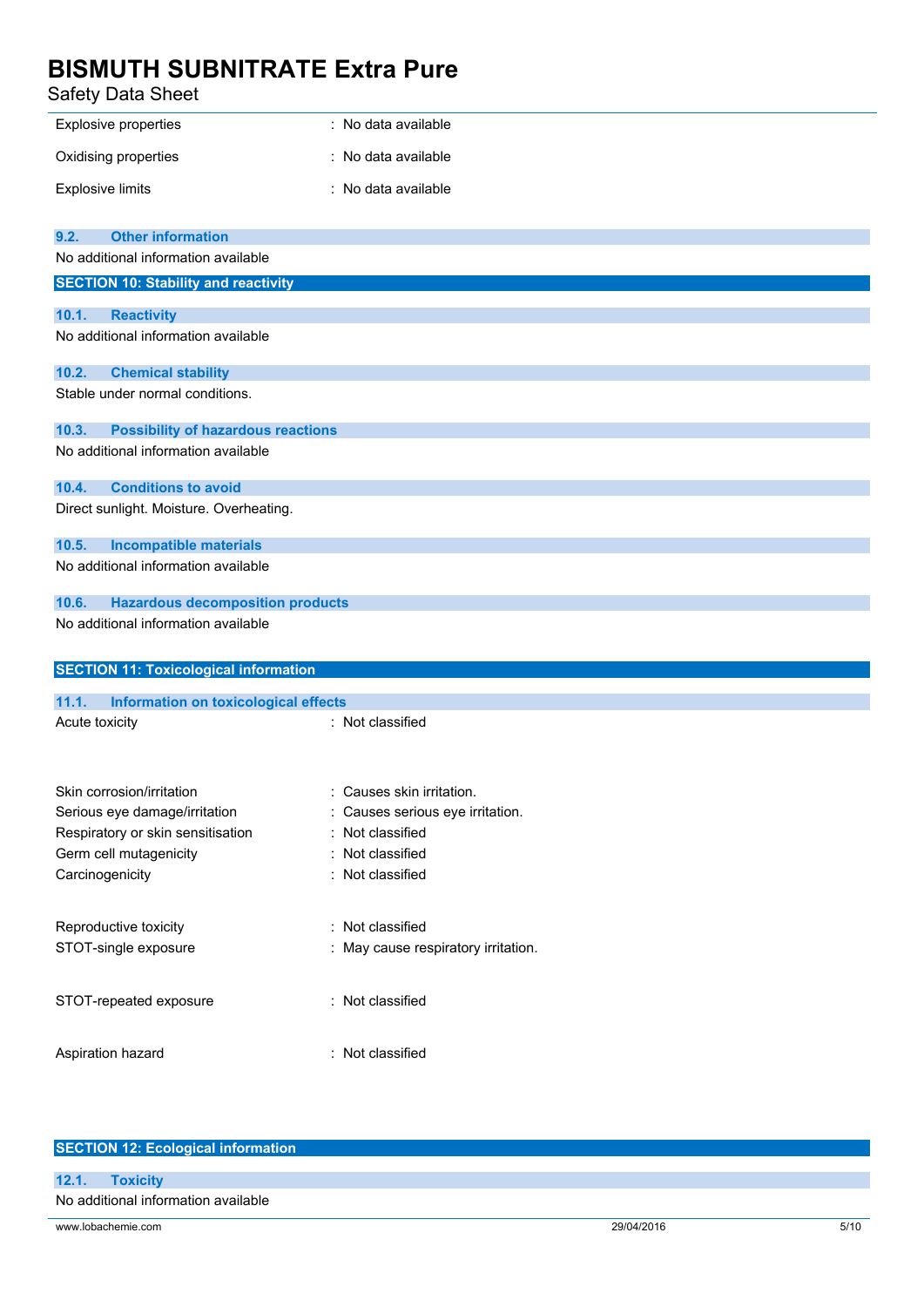# **BISMUTH SUBNITRATE Extra Pure**<br>Safety Data Sheet

| Safety Data Sheet                                           |                                                       |
|-------------------------------------------------------------|-------------------------------------------------------|
| Explosive properties                                        | : No data available                                   |
| Oxidising properties                                        | No data available                                     |
| <b>Explosive limits</b>                                     | No data available<br>÷                                |
| <b>Other information</b><br>9.2.                            |                                                       |
| No additional information available                         |                                                       |
| <b>SECTION 10: Stability and reactivity</b>                 |                                                       |
| 10.1.<br><b>Reactivity</b>                                  |                                                       |
| No additional information available                         |                                                       |
| 10.2.<br><b>Chemical stability</b>                          |                                                       |
| Stable under normal conditions.                             |                                                       |
| <b>Possibility of hazardous reactions</b><br>10.3.          |                                                       |
| No additional information available                         |                                                       |
| <b>Conditions to avoid</b><br>10.4.                         |                                                       |
| Direct sunlight. Moisture. Overheating.                     |                                                       |
| 10.5.<br><b>Incompatible materials</b>                      |                                                       |
| No additional information available                         |                                                       |
| <b>Hazardous decomposition products</b><br>10.6.            |                                                       |
| No additional information available                         |                                                       |
| <b>SECTION 11: Toxicological information</b>                |                                                       |
| 11.1.<br><b>Information on toxicological effects</b>        |                                                       |
| Acute toxicity                                              | : Not classified                                      |
|                                                             |                                                       |
| Skin corrosion/irritation                                   | : Causes skin irritation.                             |
| Serious eye damage/irritation                               | Causes serious eye irritation.<br>Not classified<br>÷ |
| Respiratory or skin sensitisation<br>Germ cell mutagenicity | Not classified<br>÷                                   |
| Carcinogenicity                                             | : Not classified                                      |
|                                                             |                                                       |
| Reproductive toxicity<br>: Not classified                   |                                                       |
| STOT-single exposure                                        | : May cause respiratory irritation.                   |
| STOT-repeated exposure                                      | : Not classified                                      |
| Aspiration hazard                                           | : Not classified                                      |

| <b>SECTION 12: Ecological information</b> |            |      |  |
|-------------------------------------------|------------|------|--|
| 12.1.<br><b>Toxicity</b>                  |            |      |  |
| No additional information available       |            |      |  |
| www.lobachemie.com                        | 29/04/2016 | 5/10 |  |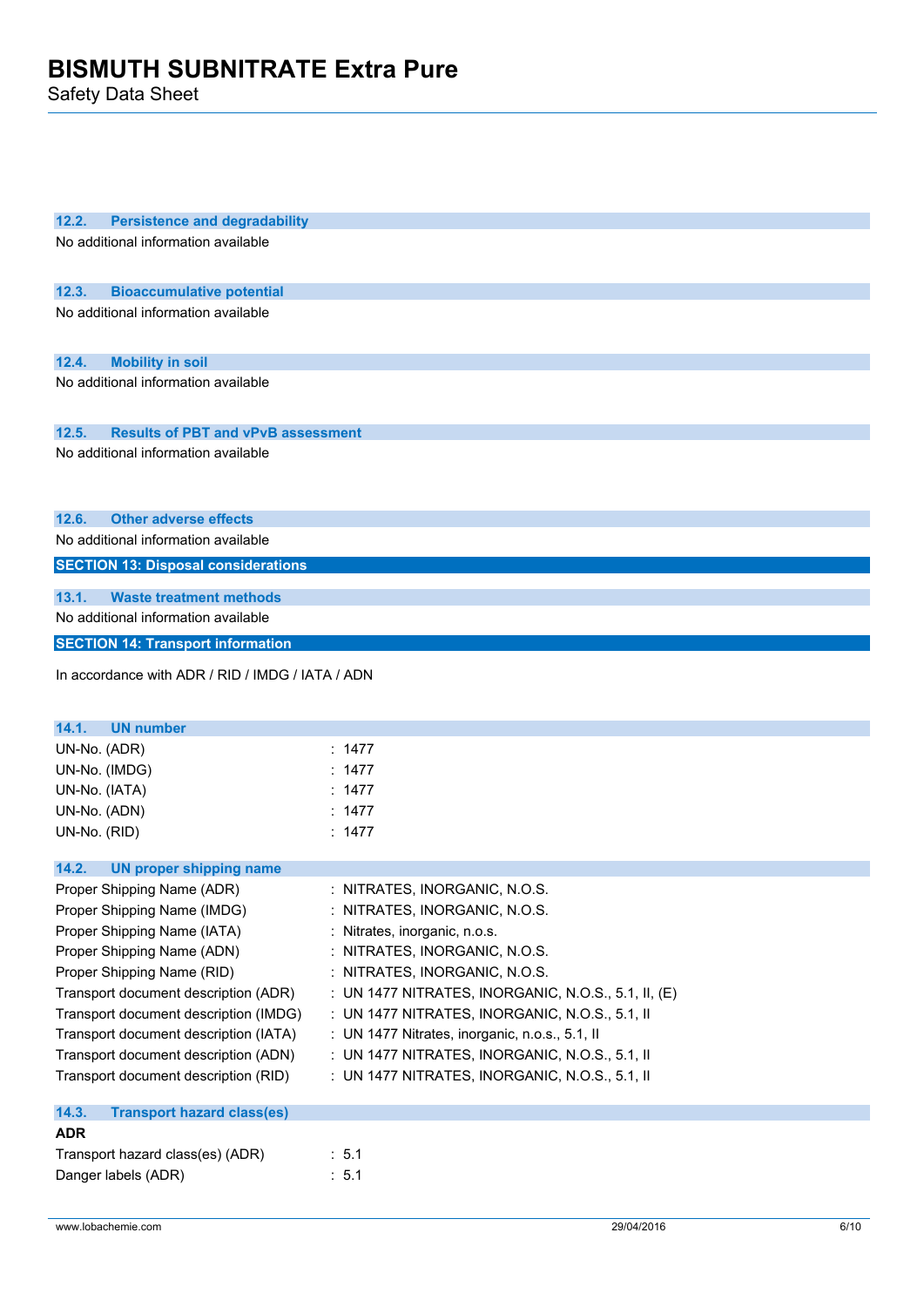| 12.2.<br><b>Persistence and degradability</b>      |                                                     |
|----------------------------------------------------|-----------------------------------------------------|
| No additional information available                |                                                     |
|                                                    |                                                     |
| 12.3.<br><b>Bioaccumulative potential</b>          |                                                     |
| No additional information available                |                                                     |
|                                                    |                                                     |
|                                                    |                                                     |
| <b>Mobility in soil</b><br>12.4.                   |                                                     |
| No additional information available                |                                                     |
|                                                    |                                                     |
| 12.5.<br><b>Results of PBT and vPvB assessment</b> |                                                     |
| No additional information available                |                                                     |
|                                                    |                                                     |
|                                                    |                                                     |
|                                                    |                                                     |
| 12.6.<br><b>Other adverse effects</b>              |                                                     |
| No additional information available                |                                                     |
| <b>SECTION 13: Disposal considerations</b>         |                                                     |
| 13.1.<br><b>Waste treatment methods</b>            |                                                     |
| No additional information available                |                                                     |
|                                                    |                                                     |
| <b>SECTION 14: Transport information</b>           |                                                     |
| In accordance with ADR / RID / IMDG / IATA / ADN   |                                                     |
|                                                    |                                                     |
|                                                    |                                                     |
| 14.1.<br><b>UN number</b>                          |                                                     |
| UN-No. (ADR)                                       | : 1477                                              |
| UN-No. (IMDG)                                      | : $1477$                                            |
| UN-No. (IATA)                                      | : 1477                                              |
| UN-No. (ADN)                                       | : $1477$                                            |
| UN-No. (RID)                                       | : 1477                                              |
|                                                    |                                                     |
| 14.2.<br><b>UN proper shipping name</b>            |                                                     |
| Proper Shipping Name (ADR)                         | : NITRATES, INORGANIC, N.O.S                        |
| Proper Shipping Name (IMDG)                        | : NITRATES, INORGANIC, N.O.S.                       |
| Proper Shipping Name (IATA)                        | : Nitrates, inorganic, n.o.s.                       |
| Proper Shipping Name (ADN)                         | : NITRATES, INORGANIC, N.O.S.                       |
| Proper Shipping Name (RID)                         | : NITRATES, INORGANIC, N.O.S.                       |
| Transport document description (ADR)               | : UN 1477 NITRATES, INORGANIC, N.O.S., 5.1, II, (E) |
| Transport document description (IMDG)              | : UN 1477 NITRATES, INORGANIC, N.O.S., 5.1, II      |
| Transport document description (IATA)              | : UN 1477 Nitrates, inorganic, n.o.s., 5.1, II      |
| Transport document description (ADN)               | : UN 1477 NITRATES, INORGANIC, N.O.S., 5.1, II      |
| Transport document description (RID)               | : UN 1477 NITRATES, INORGANIC, N.O.S., 5.1, II      |
|                                                    |                                                     |
| 14.3.<br><b>Transport hazard class(es)</b>         |                                                     |
| <b>ADR</b>                                         |                                                     |
| Transport hazard class(es) (ADR)                   | : 5.1                                               |
| Danger labels (ADR)                                | : 5.1                                               |
|                                                    |                                                     |
|                                                    |                                                     |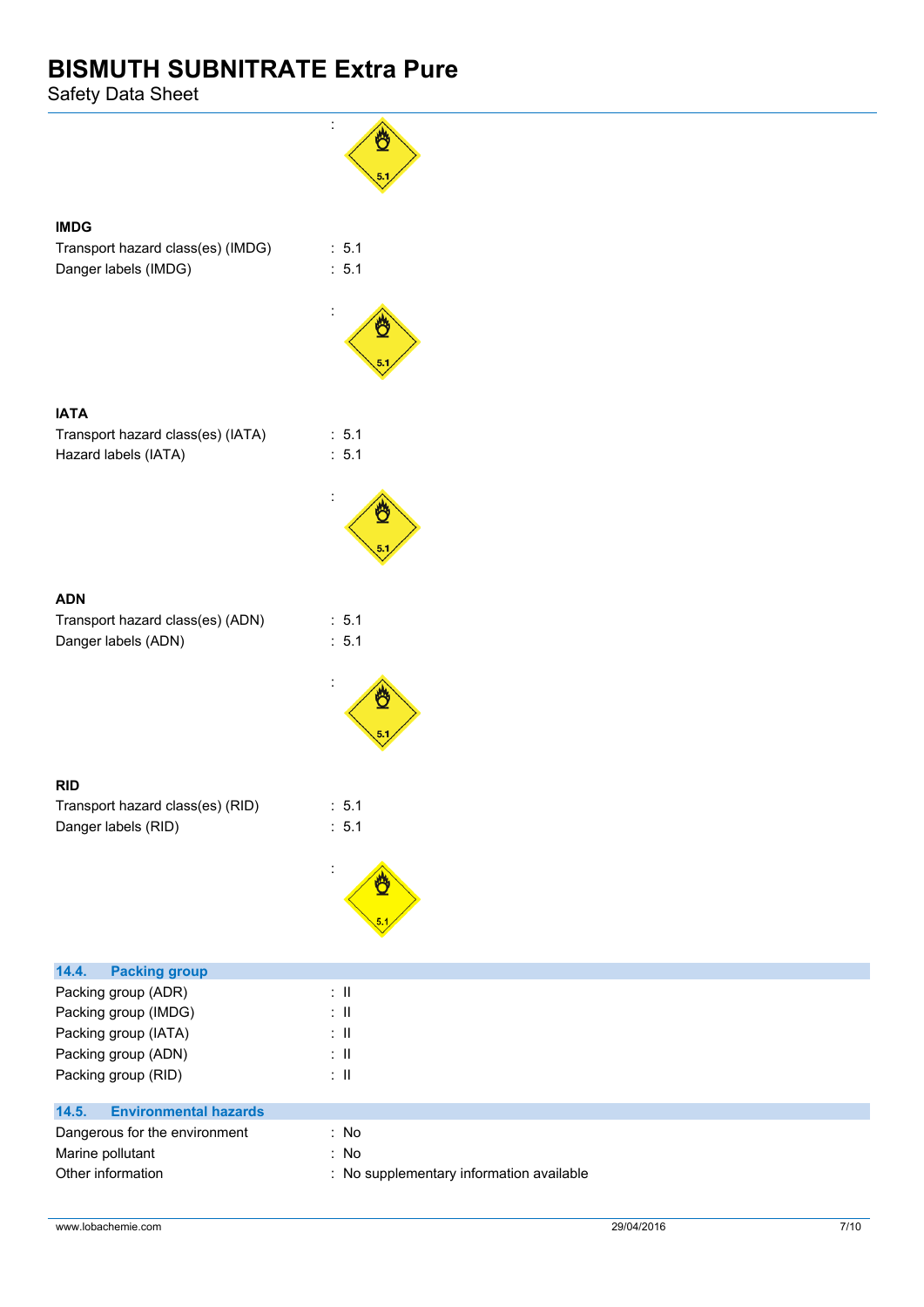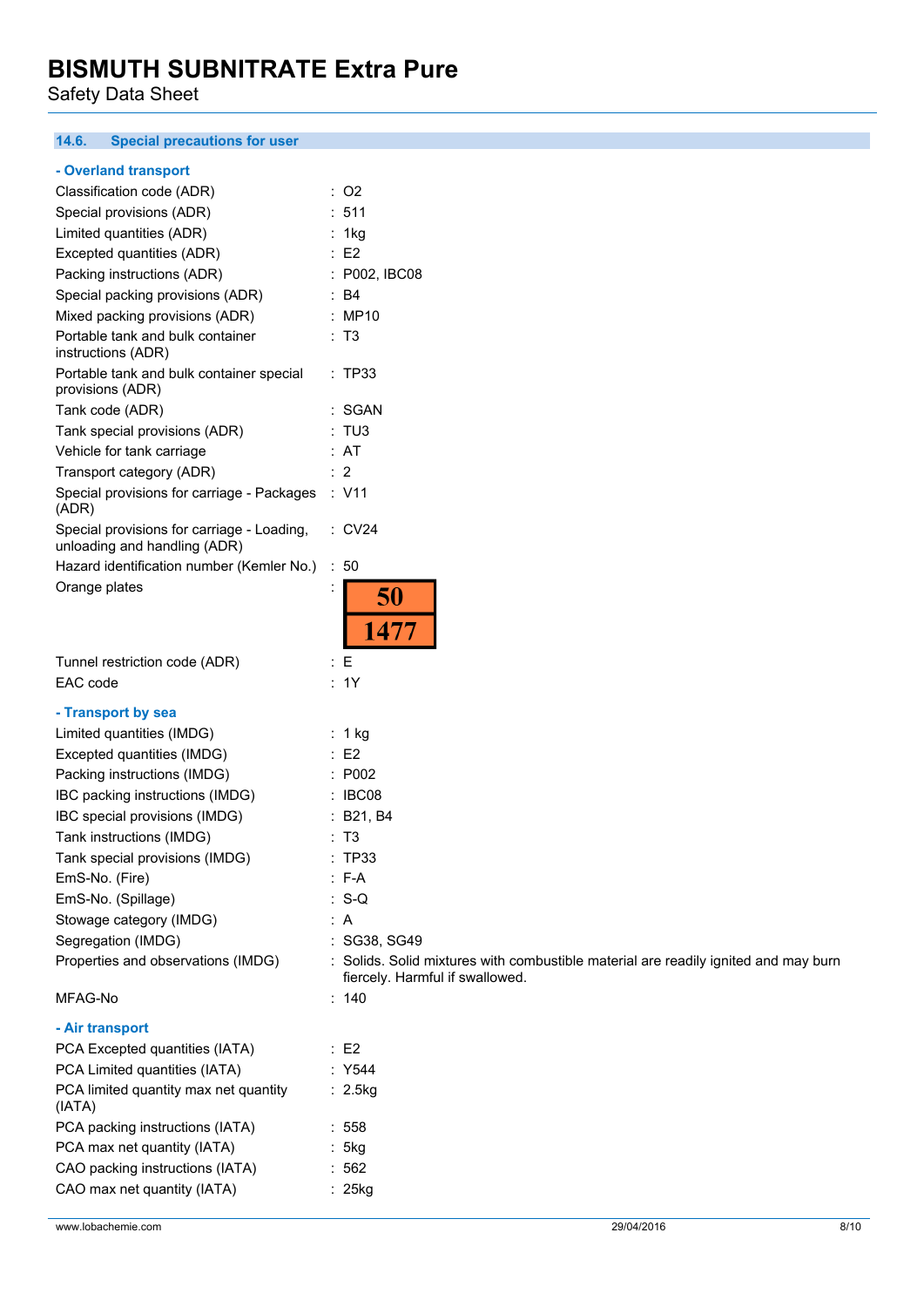Safety Data Sheet

#### $14.6.$ **14.6. Special precautions for user**

#### **- Overland transport**

| Classification code (ADR)                                                  | : O2                 |               |
|----------------------------------------------------------------------------|----------------------|---------------|
| Special provisions (ADR)                                                   | :511                 |               |
| Limited quantities (ADR)                                                   | 1kg                  |               |
| Excepted quantities (ADR)                                                  | $E$ F2               |               |
| Packing instructions (ADR)                                                 |                      | : P002, IBC08 |
| Special packing provisions (ADR)                                           | B <sub>4</sub><br>۰. |               |
| Mixed packing provisions (ADR)                                             | MP10                 |               |
| Portable tank and bulk container<br>instructions (ADR)                     | : T3                 |               |
| Portable tank and bulk container special<br>provisions (ADR)               | : TP33               |               |
| Tank code (ADR)                                                            | : SGAN               |               |
| Tank special provisions (ADR)                                              | : TU3                |               |
| Vehicle for tank carriage                                                  | : AT                 |               |
| Transport category (ADR)                                                   | $\cdot$ 2            |               |
| Special provisions for carriage - Packages<br>(ADR)                        | : V11                |               |
| Special provisions for carriage - Loading,<br>unloading and handling (ADR) | $\therefore$ CV24    |               |
| Hazard identification number (Kemler No.)                                  | : 50                 |               |
| Orange plates                                                              |                      | 50            |
|                                                                            |                      | 1477          |

| Tunnel restriction code (ADR) | : E |
|-------------------------------|-----|
| EAC code                      |     |

#### **- Transport by sea**

| - Transport by sea                 |                                                                                                                        |
|------------------------------------|------------------------------------------------------------------------------------------------------------------------|
| Limited quantities (IMDG)          | : 1 kg                                                                                                                 |
| Excepted quantities (IMDG)         | $\therefore$ E2                                                                                                        |
| Packing instructions (IMDG)        | : P002                                                                                                                 |
| IBC packing instructions (IMDG)    | : IBCO8                                                                                                                |
| IBC special provisions (IMDG)      | : B21, B4                                                                                                              |
| Tank instructions (IMDG)           | : T3                                                                                                                   |
| Tank special provisions (IMDG)     | : TP33                                                                                                                 |
| EmS-No. (Fire)                     | $\therefore$ F-A                                                                                                       |
| EmS-No. (Spillage)                 | $: S-Q$                                                                                                                |
| Stowage category (IMDG)            | : A                                                                                                                    |
| Segregation (IMDG)                 | : SG38, SG49                                                                                                           |
| Properties and observations (IMDG) | : Solids. Solid mixtures with combustible material are readily ignited and may burn<br>fiercely. Harmful if swallowed. |
| MFAG-No                            | : 140                                                                                                                  |

 $: 1Y$ 

# **- Air transport**

| PCA Excepted quantities (IATA)                  | : F2      |
|-------------------------------------------------|-----------|
| PCA Limited quantities (IATA)                   | : Y544    |
| PCA limited quantity max net quantity<br>(IATA) | : 2.5kg   |
| PCA packing instructions (IATA)                 | : 558     |
| PCA max net quantity (IATA)                     | : 5kg     |
| CAO packing instructions (IATA)                 | :562      |
| CAO max net quantity (IATA)                     | $: 25$ kg |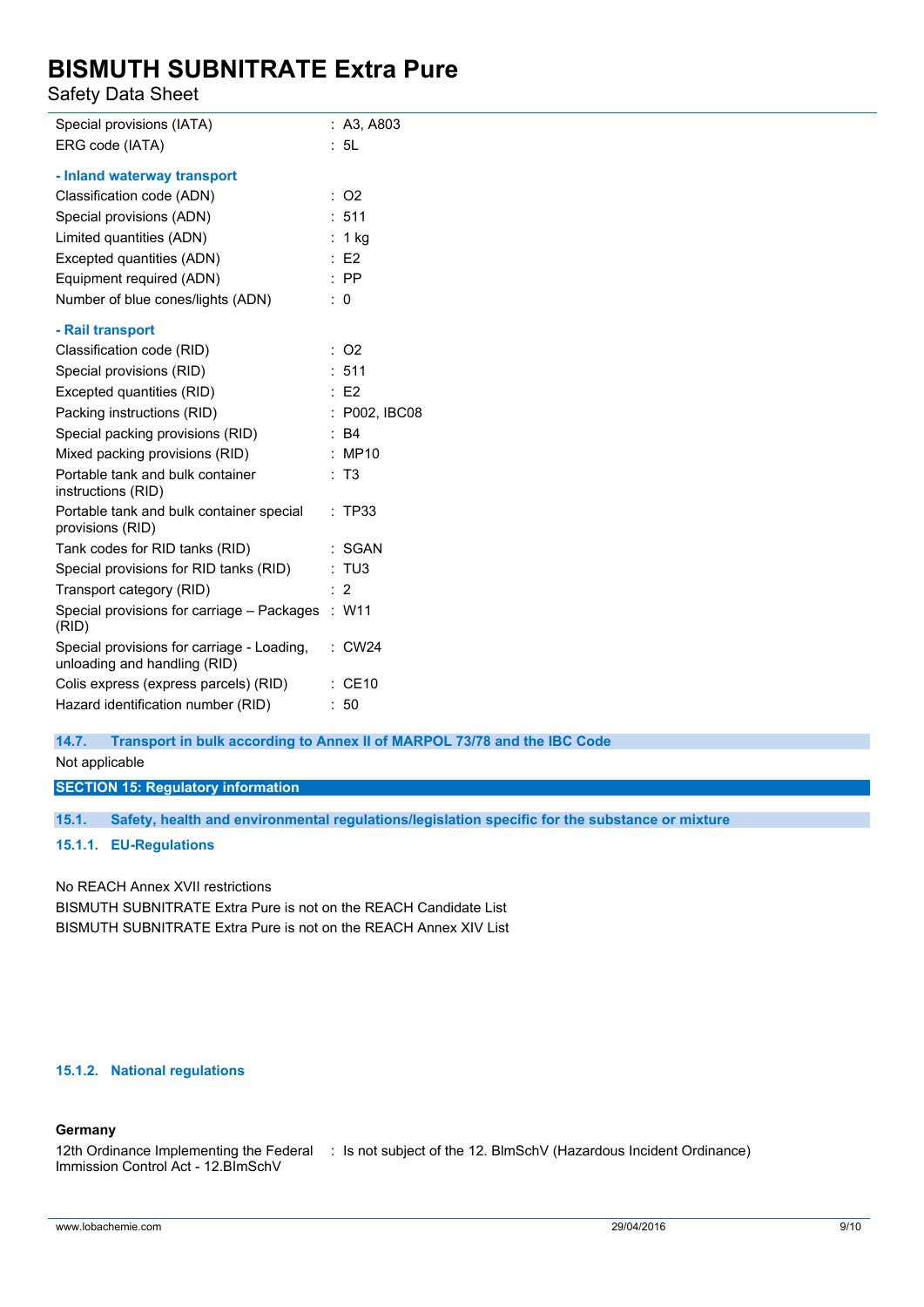Safety Data Sheet

| Special provisions (IATA)                                                  | : A3, A803         |
|----------------------------------------------------------------------------|--------------------|
| ERG code (IATA)                                                            | : 5L               |
| - Inland waterway transport                                                |                    |
| Classification code (ADN)                                                  | $:$ O <sub>2</sub> |
| Special provisions (ADN)                                                   | : 511              |
| Limited quantities (ADN)                                                   | : 1 $kg$           |
| Excepted quantities (ADN)                                                  | E2                 |
| Equipment required (ADN)                                                   | $:$ PP             |
| Number of blue cones/lights (ADN)                                          | : 0                |
| - Rail transport                                                           |                    |
| Classification code (RID)                                                  | $:$ O2             |
| Special provisions (RID)                                                   | : 511              |
| Excepted quantities (RID)                                                  | E2                 |
| Packing instructions (RID)                                                 | : P002, IBC08      |
| Special packing provisions (RID)                                           | : B4               |
| Mixed packing provisions (RID)                                             | : MP10             |
| Portable tank and bulk container<br>instructions (RID)                     | : T3               |
| Portable tank and bulk container special<br>provisions (RID)               | : TP33             |
| Tank codes for RID tanks (RID)                                             | : SGAN             |
| Special provisions for RID tanks (RID)                                     | : TUS              |
| Transport category (RID)                                                   | : 2                |
| Special provisions for carriage - Packages<br>(RID)                        | : W11              |
| Special provisions for carriage - Loading,<br>unloading and handling (RID) | <b>CW24</b>        |
| Colis express (express parcels) (RID)                                      | $\therefore$ CE10  |
| Hazard identification number (RID)                                         | : 50               |

**14.7. Transport in bulk according to Annex II of MARPOL 73/78 and the IBC Code**

Not applicable

# **SECTION 15: Regulatory information**

**15.1. Safety, health and environmental regulations/legislation specific for the substance or mixture**

#### **15.1.1. EU-Regulations**

No REACH Annex XVII restrictions

BISMUTH SUBNITRATE Extra Pure is not on the REACH Candidate List BISMUTH SUBNITRATE Extra Pure is not on the REACH Annex XIV List

# **15.1.2. National regulations**

#### **Germany**

12th Ordinance Implementing the Federal : Is not subject of the 12. BlmSchV (Hazardous Incident Ordinance)Immission Control Act - 12.BImSchV